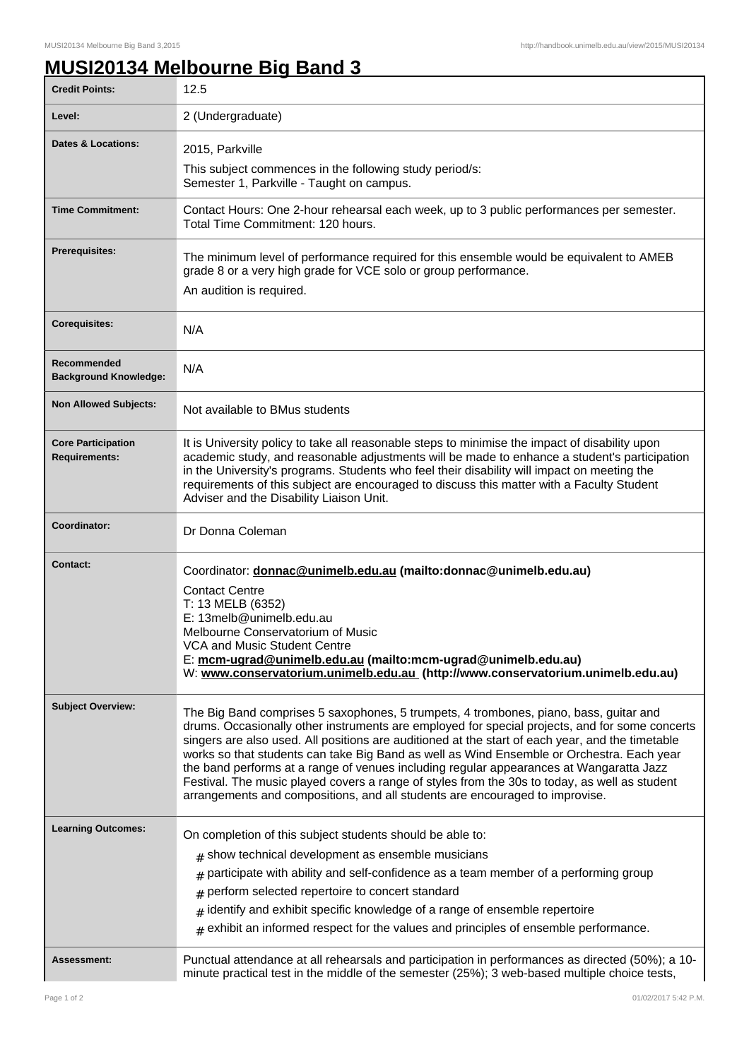## **MUSI20134 Melbourne Big Band 3**

| <b>Credit Points:</b>                             | 12.5                                                                                                                                                                                                                                                                                                                                                                                                                                                                                                                                                                                                                                                                 |
|---------------------------------------------------|----------------------------------------------------------------------------------------------------------------------------------------------------------------------------------------------------------------------------------------------------------------------------------------------------------------------------------------------------------------------------------------------------------------------------------------------------------------------------------------------------------------------------------------------------------------------------------------------------------------------------------------------------------------------|
| Level:                                            | 2 (Undergraduate)                                                                                                                                                                                                                                                                                                                                                                                                                                                                                                                                                                                                                                                    |
| <b>Dates &amp; Locations:</b>                     | 2015, Parkville                                                                                                                                                                                                                                                                                                                                                                                                                                                                                                                                                                                                                                                      |
|                                                   | This subject commences in the following study period/s:                                                                                                                                                                                                                                                                                                                                                                                                                                                                                                                                                                                                              |
|                                                   | Semester 1, Parkville - Taught on campus.                                                                                                                                                                                                                                                                                                                                                                                                                                                                                                                                                                                                                            |
| <b>Time Commitment:</b>                           | Contact Hours: One 2-hour rehearsal each week, up to 3 public performances per semester.<br>Total Time Commitment: 120 hours.                                                                                                                                                                                                                                                                                                                                                                                                                                                                                                                                        |
| <b>Prerequisites:</b>                             | The minimum level of performance required for this ensemble would be equivalent to AMEB<br>grade 8 or a very high grade for VCE solo or group performance.<br>An audition is required.                                                                                                                                                                                                                                                                                                                                                                                                                                                                               |
| <b>Corequisites:</b>                              | N/A                                                                                                                                                                                                                                                                                                                                                                                                                                                                                                                                                                                                                                                                  |
| Recommended<br><b>Background Knowledge:</b>       | N/A                                                                                                                                                                                                                                                                                                                                                                                                                                                                                                                                                                                                                                                                  |
| <b>Non Allowed Subjects:</b>                      | Not available to BMus students                                                                                                                                                                                                                                                                                                                                                                                                                                                                                                                                                                                                                                       |
| <b>Core Participation</b><br><b>Requirements:</b> | It is University policy to take all reasonable steps to minimise the impact of disability upon<br>academic study, and reasonable adjustments will be made to enhance a student's participation<br>in the University's programs. Students who feel their disability will impact on meeting the<br>requirements of this subject are encouraged to discuss this matter with a Faculty Student<br>Adviser and the Disability Liaison Unit.                                                                                                                                                                                                                               |
| Coordinator:                                      | Dr Donna Coleman                                                                                                                                                                                                                                                                                                                                                                                                                                                                                                                                                                                                                                                     |
| <b>Contact:</b>                                   | Coordinator: donnac@unimelb.edu.au (mailto:donnac@unimelb.edu.au)                                                                                                                                                                                                                                                                                                                                                                                                                                                                                                                                                                                                    |
|                                                   | <b>Contact Centre</b><br>T: 13 MELB (6352)                                                                                                                                                                                                                                                                                                                                                                                                                                                                                                                                                                                                                           |
|                                                   | E: 13melb@unimelb.edu.au                                                                                                                                                                                                                                                                                                                                                                                                                                                                                                                                                                                                                                             |
|                                                   | Melbourne Conservatorium of Music<br>VCA and Music Student Centre                                                                                                                                                                                                                                                                                                                                                                                                                                                                                                                                                                                                    |
|                                                   | E: mcm-ugrad@unimelb.edu.au (mailto:mcm-ugrad@unimelb.edu.au)<br>W: www.conservatorium.unimelb.edu.au (http://www.conservatorium.unimelb.edu.au)                                                                                                                                                                                                                                                                                                                                                                                                                                                                                                                     |
| <b>Subject Overview:</b>                          | The Big Band comprises 5 saxophones, 5 trumpets, 4 trombones, piano, bass, guitar and<br>drums. Occasionally other instruments are employed for special projects, and for some concerts<br>singers are also used. All positions are auditioned at the start of each year, and the timetable<br>works so that students can take Big Band as well as Wind Ensemble or Orchestra. Each year<br>the band performs at a range of venues including regular appearances at Wangaratta Jazz<br>Festival. The music played covers a range of styles from the 30s to today, as well as student<br>arrangements and compositions, and all students are encouraged to improvise. |
| <b>Learning Outcomes:</b>                         | On completion of this subject students should be able to:                                                                                                                                                                                                                                                                                                                                                                                                                                                                                                                                                                                                            |
|                                                   | $#$ show technical development as ensemble musicians                                                                                                                                                                                                                                                                                                                                                                                                                                                                                                                                                                                                                 |
|                                                   | participate with ability and self-confidence as a team member of a performing group<br>#                                                                                                                                                                                                                                                                                                                                                                                                                                                                                                                                                                             |
|                                                   | perform selected repertoire to concert standard<br>#                                                                                                                                                                                                                                                                                                                                                                                                                                                                                                                                                                                                                 |
|                                                   | identify and exhibit specific knowledge of a range of ensemble repertoire<br>$\pm$                                                                                                                                                                                                                                                                                                                                                                                                                                                                                                                                                                                   |
|                                                   | $*$ exhibit an informed respect for the values and principles of ensemble performance.                                                                                                                                                                                                                                                                                                                                                                                                                                                                                                                                                                               |
| <b>Assessment:</b>                                | Punctual attendance at all rehearsals and participation in performances as directed (50%); a 10-<br>minute practical test in the middle of the semester (25%); 3 web-based multiple choice tests,                                                                                                                                                                                                                                                                                                                                                                                                                                                                    |